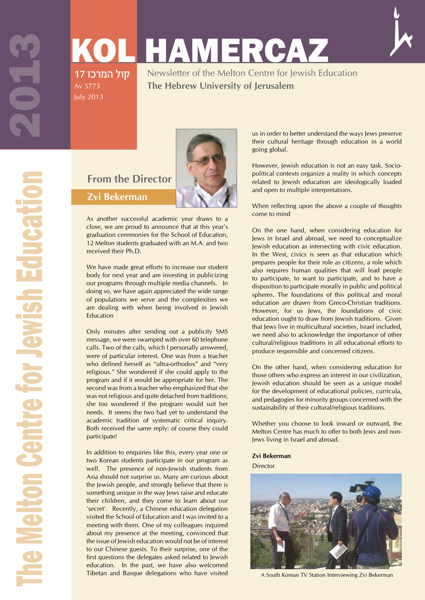Av 5773 July 2013

# KOL HAMERCAZ קול המרכז 17



The Melton Centre for Jewish Education 20213 **Metton Centre for Jewish Educati** 

### Newsletter of the Melton Centre for Jewish Education **The Hebrew University of Jerusalem**



As another successful academic year draws to a close, we are proud to announce that at this year's graduation ceremonies for the School of Education, 12 Melton students graduated with an M.A. and two received their Ph.D.

**From the Director**

**Zvi Bekerman**

We have made great efforts to increase our student body for next year and are investing in publicizing our programs through multiple media channels. In doing so, we have again appreciated the wide range of populations we serve and the complexities we are dealing with when being involved in Jewish Education

Only minutes after sending out a publicity SMS message, we were swamped with over 60 telephone calls. Two of the calls, which I personally answered, were of particular interest. One was from a teacher who defined herself as "ultra-orthodox" and "very religious." She wondered if she could apply to the program and if it would be appropriate for her. The second was from a teacher who emphasized that she was not religious and quite detached from traditions; she too wondered if the program would suit her needs. It seems the two had yet to understand the academic tradition of systematic critical inquiry. Both received the same reply: of course they could participate!

In addition to enquiries like this, every year one or two Korean students participate in our program as well. The presence of non-Jewish students from Asia should not surprise us. Many are curious about the Jewish people, and strongly believe that there is something unique in the way Jews raise and educate their children, and they come to learn about our 'secret'. Recently, a Chinese education delegation visited the School of Education and I was invited to a meeting with them. One of my colleagues inquired about my presence at the meeting, convinced that the issue of Jewish education would not be of interest to our Chinese guests. To their surprise, one of the first questions the delegates asked related to Jewish education. In the past, we have also welcomed Tibetan and Basque delegations who have visited

us in order to better understand the ways Jews preserve their cultural heritage through education in a world going global.

However, Jewish education is not an easy task. Sociopolitical contexts organize a reality in which concepts related to Jewish education are ideologically loaded and open to multiple interpretations.

When reflecting upon the above a couple of thoughts come to mind

On the one hand, when considering education for Jews in Israel and abroad, we need to conceptualize Jewish education as intersecting with civic education. In the West, civics is seen as that education which prepares people for their role as citizens, a role which also requires human qualities that will lead people to participate, to want to participate, and to have a disposition to participate morally in public and political spheres. The foundations of this political and moral education are drawn from Greco-Christian traditions. However, for us Jews, the foundations of civic education ought to draw from Jewish traditions. Given that Jews live in multicultural societies, Israel included, we need also to acknowledge the importance of other cultural/religious traditions in all educational efforts to produce responsible and concerned citizens.

On the other hand, when considering education for those others who express an interest in our civilization, Jewish education should be seen as a unique model for the development of educational policies, curricula, and pedagogies for minority groups concerned with the sustainability of their cultural/religious traditions.

Whether you choose to look inward or outward, the Melton Centre has much to offer to both Jews and non-Jews living in Israel and abroad.

#### **Zvi Bekerman**

**Director** 



A South Korean TV Station Interviewing Zvi Bekerman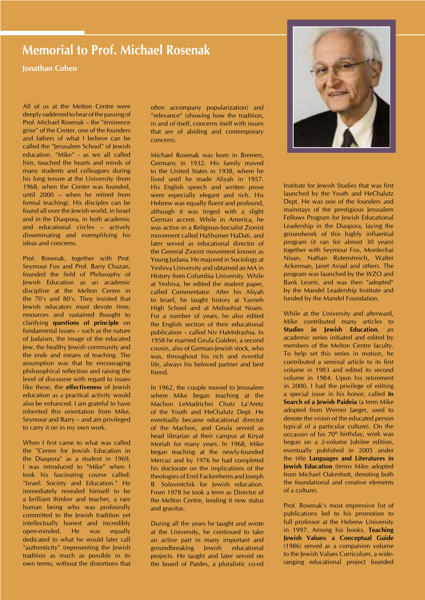### **Memorial to Prof. Michael Rosenak**

**Jonathan Cohen**

All of us at the Melton Centre were deeply saddened to hear of the passing of Prof. Michael Rosenak – the "éminence grise" of the Center, one of the founders and fathers of what I believe can be called the "Jerusalem School" of Jewish education. "Mike" - as we all called him, touched the hearts and minds of many students and colleagues during his long tenure at the University (from 1968, when the Center was founded, until 2000 – when he retired from formal teaching). His disciples can be found all over the Jewish world, in Israel and in the Diaspora, in both academic and educational circles – actively disseminating and exemplifying his ideas and concerns.

Prof. Rosenak, together with Prof. Seymour Fox and Prof. Barry Chazan, founded the field of Philosophy of Jewish Education as an academic discipline at the Melton Centre in the 70's and 80's. They insisted that Jewish educators must devote time, resources and sustained thought to clarifying **questions of principle** on fundamental issues – such as the nature of Judaism, the image of the educated Jew, the healthy Jewish community and the ends and means of teaching. The assumption was that by encouraging philosophical reflection and raising the level of discourse with regard to issues like these, the **effectiveness** of Jewish education as a practical activity would also be enhanced. I am grateful to have inherited this orientation from Mike, Seymour and Barry – and am privileged to carry it on in my own work.

When I first came to what was called the "Centre for Jewish Education in the Diaspora" as a student in 1969, I was introduced to "Mike" when I took his fascinating course called: "Israel: Society and Education." He immediately revealed himself to be a brilliant thinker and teacher, a rare human being who was profoundly committed to the Jewish tradition yet intellectually honest and incredibly open-minded. He was equally dedicated to what he would later call "authenticity" (representing the Jewish tradition as much as possible in its own terms, without the distortions that

often accompany popularization) and "relevance" (showing how the tradition, in and of itself, concerns itself with issues that are of abiding and contemporary concern).

Michael Rosenak was born in Bremen, Germany in 1932. His family moved to the United States in 1938, where he lived until he made Aliyah in 1957. His English speech and written prose were especially elegant and rich. His Hebrew was equally fluent and profound, although it was tinged with a slight German accent. While in America, he was active in a Religious-Socialist Zionist movement called HaShomer HaDati, and later served as educational director of the General Zionist movement known as Young Judaea. He majored in Sociology at Yeshiva University and obtained an MA in History from Columbia University. While at Yeshiva, he edited the student paper, called Commentator. After his Aliyah to Israel, he taught history at Yavneh High School and at Midrashiat Noam. For a number of years, he also edited the English section of their educational publication – called Niv HaMidrashia. In 1958 he married Geula Goldrei, a second cousin, also of German-Jewish stock, who was, throughout his rich and eventful life, always his beloved partner and best friend.

In 1962, the couple moved to Jerusalem where Mike began teaching at the Machon LeMadrichei Chutz La'Aretz of the Youth and HeChalutz Dept. He eventually became educational director of the Machon, and Geula served as head librarian at their campus at Kiryat Moriah for many years. In 1968, Mike began teaching at the newly-founded Mercaz and by 1976 he had completed his doctorate on the implications of the theologies of Emil Fackenheim and Joseph B. Soloveitchik for Jewish education. From 1978 he took a term as Director of the Melton Centre, lending it new status and gravitas.

During all the years he taught and wrote at the University, he continued to take an active part in many important and groundbreaking Jewish educational projects. He taught and later served on the board of Pardes, a pluralistic co-ed



Institute for Jewish Studies that was first launched by the Youth and HeChalutz Dept. He was one of the founders and mainstays of the prestigious Jerusalem Fellows Program for Jewish Educational Leadership in the Diaspora, laying the groundwork of this highly influential program (it ran for almost 30 years) together with Seymour Fox, Mordechai Nisan, Nathan Rotenstreich, Walter Ackerman, Janet Aviad and others. The program was launched by the WZO and Bank Leumi, and was then "adopted" by the Mandel Leadership Institute and funded by the Mandel Foundation.

While at the University and afterward, Mike contributed many articles to **Studies in Jewish Education**, an academic series initiated and edited by members of the Melton Centre faculty. To help set this series in motion, he contributed a seminal article to its first volume in 1983 and edited its second volume in 1984. Upon his retirement in 2000, I had the privilege of editing a special issue in his honor, called **In Search of a Jewish Paideia** (a term Mike adopted from Werner Jaeger, used to denote the vision of the educated person typical of a particular culture). On the occasion of his  $70<sup>th</sup>$  birthday, work was begun on a 2-volume Jubilee edition, eventually published in 2005 under the title **Languages and Literatures in Jewish Education** (terms Mike adopted from Michael Oakeshott, denoting both the foundational and creative elements of a culture).

Prof. Rosenak's most impressive list of publications led to his promotion to full professor at the Hebrew University in 1997. Among his books, **Teaching Jewish Values: a Conceptual Guide** (1986) served as a companion volume to the Jewish Values Curriculum, a wideranging educational project founded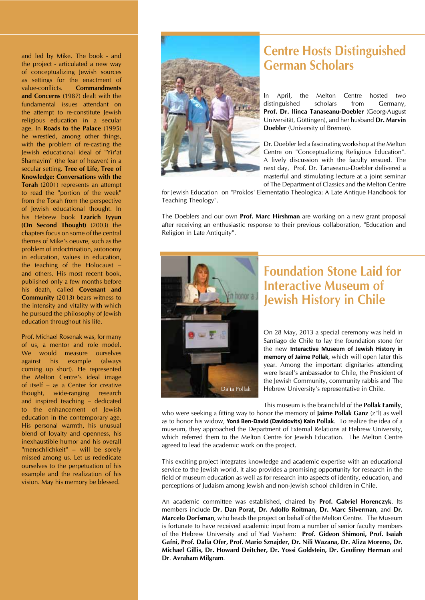and led by Mike. The book - and the project - articulated a new way of conceptualizing Jewish sources as settings for the enactment of value-conflicts. **Commandments and Concerns** (1987) dealt with the fundamental issues attendant on the attempt to re-constitute Jewish religious education in a secular age. In **Roads to the Palace** (1995) he wrestled, among other things, with the problem of re-casting the Jewish educational ideal of "Yir'at Shamayim" (the fear of heaven) in a secular setting. **Tree of Life, Tree of Knowledge: Conversations with the Torah** (2001) represents an attempt to read the "portion of the week" from the Torah from the perspective of Jewish educational thought. In his Hebrew book **Tzarich Iyyun (On Second Thought)** (2003) the chapters focus on some of the central themes of Mike's oeuvre, such as the problem of indoctrination, autonomy in education, values in education, the teaching of the Holocaust – and others. His most recent book, published only a few months before his death, called **Covenant and Community** (2013) bears witness to the intensity and vitality with which he pursued the philosophy of Jewish education throughout his life.

Prof. Michael Rosenak was, for many of us, a mentor and role model. We would measure ourselves against his example (always coming up short). He represented the Melton Centre's ideal image of itself – as a Center for creative thought, wide-ranging research and inspired teaching – dedicated to the enhancement of Jewish education in the contemporary age. His personal warmth, his unusual blend of loyalty and openness, his inexhaustible humor and his overall "menschlichkeit" – will be sorely missed among us. Let us rededicate ourselves to the perpetuation of his example and the realization of his vision. May his memory be blessed.



### **Centre Hosts Distinguished German Scholars**

In April, the Melton Centre hosted two distinguished scholars from Germany, **Prof. Dr. Ilinca Tanaseanu-Doebler** (Georg-August Universität, Göttingen), and her husband **Dr. Marvin Doebler** (University of Bremen).

Dr. Doebler led a fascinating workshop at the Melton Centre on "Conceptualizing Religious Education". A lively discussion with the faculty ensued. The next day, Prof. Dr. Tanaseanu-Doebler delivered a masterful and stimulating lecture at a joint seminar of The Department of Classics and the Melton Centre

for Jewish Education on "Proklos' Elementatio Theologica: A Late Antique Handbook for Teaching Theology".

The Doeblers and our own **Prof. Marc Hirshman** are working on a new grant proposal after receiving an enthusiastic response to their previous collaboration, "Education and Religion in Late Antiquity".



### **Foundation Stone Laid for Interactive Museum of Jewish History in Chile**

On 28 May, 2013 a special ceremony was held in Santiago de Chile to lay the foundation stone for the new **Interactive Museum of Jewish History in memory of Jaime Pollak**, which will open later this year. Among the important dignitaries attending were Israel's ambassador to Chile, the President of the Jewish Community, community rabbis and The Hebrew University's representative in Chile.

This museum is the brainchild of the **Pollak Family**,

who were seeking a fitting way to honor the memory of **Jaime Pollak Ganz** (z"l) as well as to honor his widow, **Yoná Ben-David (Davidovits) Kain Pollak**. To realize the idea of a museum, they approached the Department of External Relations at Hebrew University, which referred them to the Melton Centre for Jewish Education. The Melton Centre agreed to lead the academic work on the project.

This exciting project integrates knowledge and academic expertise with an educational service to the Jewish world. It also provides a promising opportunity for research in the field of museum education as well as for research into aspects of identity, education, and perceptions of Judaism among Jewish and non-Jewish school children in Chile.

An academic committee was established, chaired by **Prof. Gabriel Horenczyk**. Its members include **Dr. Dan Porat, Dr. Adolfo Roitman, Dr. Marc Silverman**, and **Dr. Marcelo Dorfsman**, who heads the project on behalf of the Melton Centre. The Museum is fortunate to have received academic input from a number of senior faculty members of the Hebrew University and of Yad Vashem: **Prof. Gideon Shimoni, Prof. Isaiah Gafni, Prof. Dalia Ofer, Prof. Mario Sznajder, Dr. Nili Wazana, Dr. Aliza Moreno, Dr. Michael Gillis, Dr. Howard Deitcher, Dr. Yossi Goldstein, Dr. Geoffrey Herman** and **Dr**. **Avraham Milgram**.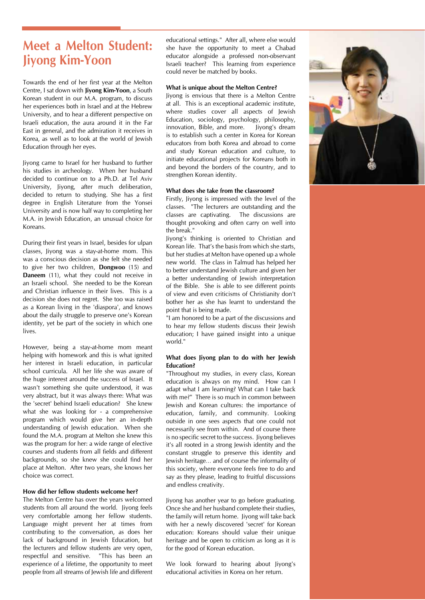### **Meet a Melton Student: Jiyong Kim-Yoon**

Towards the end of her first year at the Melton Centre, I sat down with **Jiyong Kim-Yoon**, a South Korean student in our M.A. program, to discuss her experiences both in Israel and at the Hebrew University, and to hear a different perspective on Israeli education, the aura around it in the Far East in general, and the admiration it receives in Korea, as well as to look at the world of Jewish Education through her eyes.

Jiyong came to Israel for her husband to further his studies in archeology. When her husband decided to continue on to a Ph.D. at Tel Aviv University, Jiyong, after much deliberation, decided to return to studying. She has a first degree in English Literature from the Yonsei University and is now half way to completing her M.A. in Jewish Education, an unusual choice for Koreans.

During their first years in Israel, besides for ulpan classes, Jiyong was a stay-at-home mom. This was a conscious decision as she felt she needed to give her two children, **Dongwoo** (15) and **Daneem** (11), what they could not receive in an Israeli school. She needed to be the Korean and Christian influence in their lives. This is a decision she does not regret. She too was raised as a Korean living in the 'diaspora', and knows about the daily struggle to preserve one's Korean identity, yet be part of the society in which one lives.

However, being a stay-at-home mom meant helping with homework and this is what ignited her interest in Israeli education, in particular school curricula. All her life she was aware of the huge interest around the success of Israel. It wasn't something she quite understood, it was very abstract, but it was always there: What was the 'secret' behind Israeli education? She knew what she was looking for - a comprehensive program which would give her an in-depth understanding of Jewish education. When she found the M.A. program at Melton she knew this was the program for her: a wide range of elective courses and students from all fields and different backgrounds, so she knew she could find her place at Melton. After two years, she knows her choice was correct.

#### **How did her fellow students welcome her?**

The Melton Centre has over the years welcomed students from all around the world. Jiyong feels very comfortable among her fellow students. Language might prevent her at times from contributing to the conversation, as does her lack of background in Jewish Education, but the lecturers and fellow students are very open, respectful and sensitive. "This has been an experience of a lifetime, the opportunity to meet people from all streams of Jewish life and different educational settings." After all, where else would she have the opportunity to meet a Chabad educator alongside a professed non-observant Israeli teacher? This learning from experience could never be matched by books.

#### **What is unique about the Melton Centre?**

Jiyong is envious that there is a Melton Centre at all. This is an exceptional academic institute, where studies cover all aspects of Jewish Education, sociology, psychology, philosophy, innovation, Bible, and more. Jiyong's dream is to establish such a center in Korea for Korean educators from both Korea and abroad to come and study Korean education and culture, to initiate educational projects for Koreans both in and beyond the borders of the country, and to strengthen Korean identity.

#### **What does she take from the classroom?**

Firstly, Jiyong is impressed with the level of the classes. "The lecturers are outstanding and the classes are captivating. The discussions are thought provoking and often carry on well into the break."

Jiyong's thinking is oriented to Christian and Korean life. That's the basis from which she starts, but her studies at Melton have opened up a whole new world. The class in Talmud has helped her to better understand Jewish culture and given her a better understanding of Jewish interpretation of the Bible. She is able to see different points of view and even criticisms of Christianity don't bother her as she has learnt to understand the point that is being made.

"I am honored to be a part of the discussions and to hear my fellow students discuss their Jewish education; I have gained insight into a unique world."

#### **What does Jiyong plan to do with her Jewish Education?**

"Throughout my studies, in every class, Korean education is always on my mind. How can I adapt what I am learning? What can I take back with me?" There is so much in common between Jewish and Korean cultures: the importance of education, family, and community. Looking outside in one sees aspects that one could not necessarily see from within. And of course there is no specific secret to the success. Jiyong believes it's all rooted in a strong Jewish identity and the constant struggle to preserve this identity and Jewish heritage… and of course the informality of this society, where everyone feels free to do and say as they please, leading to fruitful discussions and endless creativity.

Jiyong has another year to go before graduating. Once she and her husband complete their studies, the family will return home. Jiyong will take back with her a newly discovered 'secret' for Korean education: Koreans should value their unique heritage and be open to criticism as long as it is for the good of Korean education.

We look forward to hearing about Jiyong's educational activities in Korea on her return.